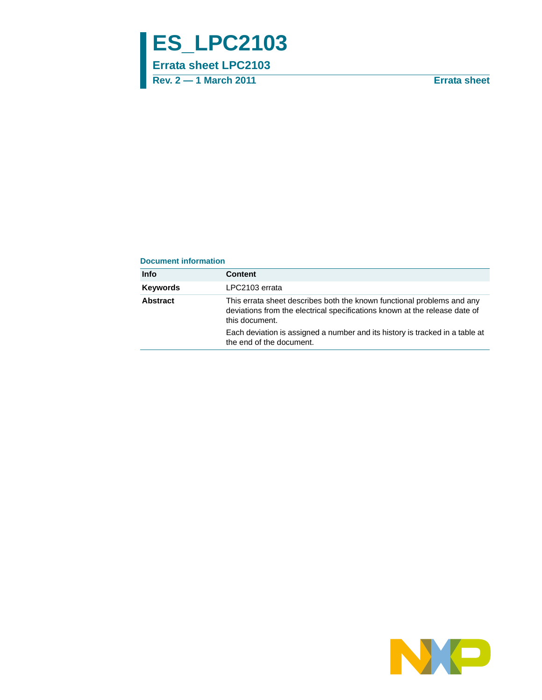# **ES\_LPC2103**

**Errata sheet LPC2103**

**Rev. 2 — 1 March 2011 Errata sheet**

#### **Document information**

| <b>Info</b>     | Content                                                                                                                                                                |
|-----------------|------------------------------------------------------------------------------------------------------------------------------------------------------------------------|
| <b>Keywords</b> | LPC2103 errata                                                                                                                                                         |
| <b>Abstract</b> | This errata sheet describes both the known functional problems and any<br>deviations from the electrical specifications known at the release date of<br>this document. |
|                 | Each deviation is assigned a number and its history is tracked in a table at<br>the end of the document.                                                               |

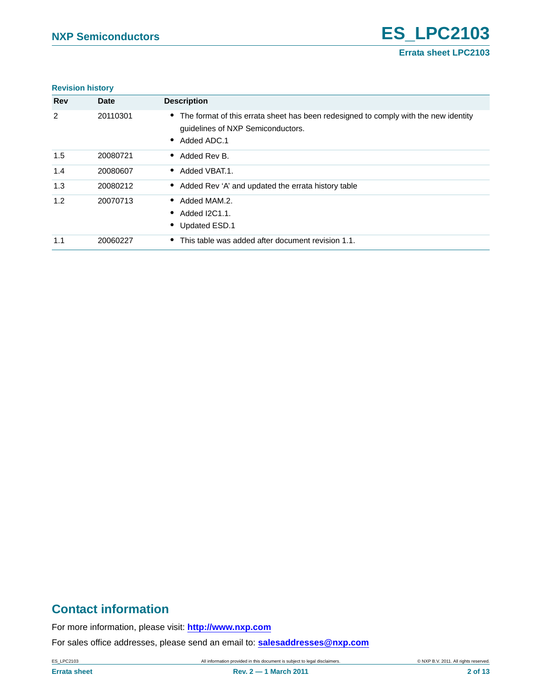#### **Revision history**

| <b>Rev</b>     | <b>Date</b> | <b>Description</b>                                                                                                                                     |
|----------------|-------------|--------------------------------------------------------------------------------------------------------------------------------------------------------|
| $\overline{2}$ | 20110301    | • The format of this errata sheet has been redesigned to comply with the new identity<br>guidelines of NXP Semiconductors.<br>Added ADC.1<br>$\bullet$ |
| 1.5            | 20080721    | Added Rev B.<br>$\bullet$                                                                                                                              |
| 1.4            | 20080607    | Added VBAT.1.<br>$\bullet$                                                                                                                             |
| 1.3            | 20080212    | • Added Rev 'A' and updated the errata history table                                                                                                   |
| 1.2            | 20070713    | Added MAM.2.<br>$\bullet$<br>Added I2C1.1.<br>$\bullet$<br>Updated ESD.1<br>$\bullet$                                                                  |
| 1.1            | 20060227    | • This table was added after document revision 1.1.                                                                                                    |

# **Contact information**

For more information, please visit: **http://www.nxp.com**

For sales office addresses, please send an email to: **salesaddresses@nxp.com**

ES\_LPC2103 All information provided in this document is subject to legal disclaimers. © NXP B.V. 2011. All rights reserved.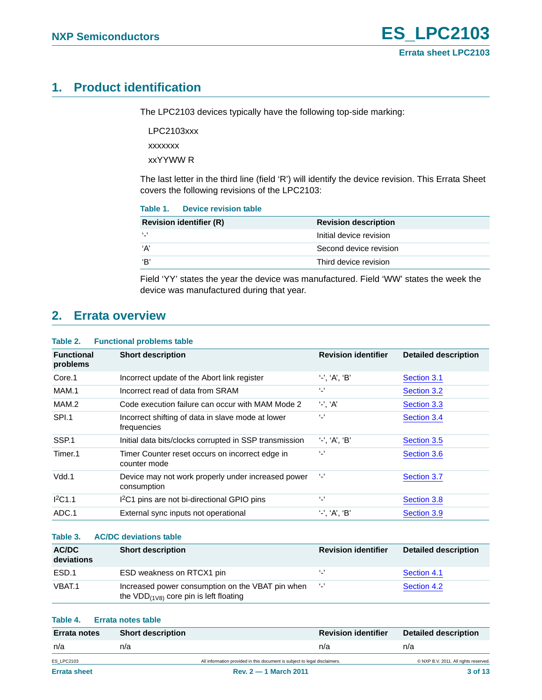# <span id="page-2-0"></span>**1. Product identification**

The LPC2103 devices typically have the following top-side marking:

LPC2103xxx xxxxxxx

xxYYWW R

The last letter in the third line (field 'R') will identify the device revision. This Errata Sheet covers the following revisions of the LPC2103:

| Table 1. | Device revision table |  |
|----------|-----------------------|--|
|          |                       |  |

| <b>Revision identifier (R)</b> | <b>Revision description</b> |
|--------------------------------|-----------------------------|
| $\cdots$                       | Initial device revision     |
| ʻA'                            | Second device revision      |
| 'B'                            | Third device revision       |

Field 'YY' states the year the device was manufactured. Field 'WW' states the week the device was manufactured during that year.

# <span id="page-2-1"></span>**2. Errata overview**

| Table 2. | <b>Functional problems table</b> |  |  |
|----------|----------------------------------|--|--|
|----------|----------------------------------|--|--|

| <b>Functional</b><br>problems | <b>Short description</b>                                          | <b>Revision identifier</b> | <b>Detailed description</b> |
|-------------------------------|-------------------------------------------------------------------|----------------------------|-----------------------------|
| Core.1                        | Incorrect update of the Abort link register                       | $'$ -', 'A', 'B'           | Section 3.1                 |
| MAM.1                         | Incorrect read of data from SRAM                                  | $\cdot$ .                  | Section 3.2                 |
| MAM.2                         | Code execution failure can occur with MAM Mode 2                  | $'$ -', 'A'                | Section 3.3                 |
| SPI.1                         | Incorrect shifting of data in slave mode at lower<br>frequencies  | $\cdot$ .                  | Section 3.4                 |
| SSP.1                         | Initial data bits/clocks corrupted in SSP transmission            | $'\cdot$ , 'A', 'B'        | Section 3.5                 |
| Timer <sub>.1</sub>           | Timer Counter reset occurs on incorrect edge in<br>counter mode   | $\ddot{\ }$                | Section 3.6                 |
| Vdd.1                         | Device may not work properly under increased power<br>consumption | $\cdot$ .                  | Section 3.7                 |
| $1^2C1.1$                     | 1 <sup>2</sup> C1 pins are not bi-directional GPIO pins           | $\cdot$ .                  | Section 3.8                 |
| ADC.1                         | External sync inputs not operational                              | $'$ -', 'A', 'B'           | Section 3.9                 |

#### **Table 3. AC/DC deviations table**

| AC/DC<br>deviations | <b>Short description</b>                                                                              | <b>Revision identifier</b> | <b>Detailed description</b> |
|---------------------|-------------------------------------------------------------------------------------------------------|----------------------------|-----------------------------|
| ESD.1               | ESD weakness on RTCX1 pin                                                                             | ٠.,                        | Section 4.1                 |
| VBAT.1              | Increased power consumption on the VBAT pin when<br>the $VDD_{(1\sqrt{8})}$ core pin is left floating | $\sim$                     | Section 4.2                 |

### **Table 4. Errata notes table**

| <b>Errata notes</b> | <b>Short description</b> | <b>Revision identifier</b>                                                 | Detailed description                  |
|---------------------|--------------------------|----------------------------------------------------------------------------|---------------------------------------|
| n/a                 | n/a                      | n/a                                                                        | n/a                                   |
| <b>ES LPC2103</b>   |                          | All information provided in this document is subject to legal disclaimers. | © NXP B.V. 2011. All rights reserved. |
| <b>Errata sheet</b> |                          | $Rev. 2 - 1 March 2011$                                                    | 3 of 13                               |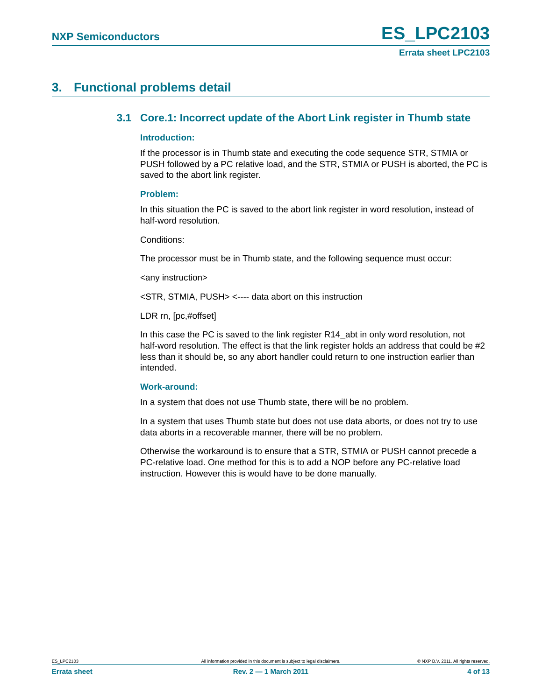# <span id="page-3-1"></span><span id="page-3-0"></span>**3. Functional problems detail**

# **3.1 Core.1: Incorrect update of the Abort Link register in Thumb state**

### <span id="page-3-2"></span>**Introduction:**

If the processor is in Thumb state and executing the code sequence STR, STMIA or PUSH followed by a PC relative load, and the STR, STMIA or PUSH is aborted, the PC is saved to the abort link register.

# <span id="page-3-3"></span>**Problem:**

In this situation the PC is saved to the abort link register in word resolution, instead of half-word resolution.

Conditions:

The processor must be in Thumb state, and the following sequence must occur:

<any instruction>

<STR, STMIA, PUSH> <---- data abort on this instruction

LDR rn, [pc,#offset]

In this case the PC is saved to the link register R14\_abt in only word resolution, not half-word resolution. The effect is that the link register holds an address that could be #2 less than it should be, so any abort handler could return to one instruction earlier than intended.

### <span id="page-3-4"></span>**Work-around:**

In a system that does not use Thumb state, there will be no problem.

In a system that uses Thumb state but does not use data aborts, or does not try to use data aborts in a recoverable manner, there will be no problem.

Otherwise the workaround is to ensure that a STR, STMIA or PUSH cannot precede a PC-relative load. One method for this is to add a NOP before any PC-relative load instruction. However this is would have to be done manually.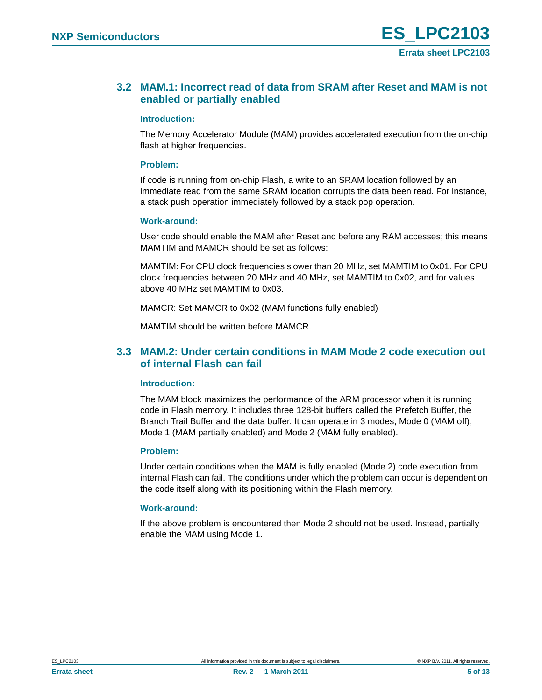# <span id="page-4-0"></span>**3.2 MAM.1: Incorrect read of data from SRAM after Reset and MAM is not enabled or partially enabled**

## <span id="page-4-2"></span>**Introduction:**

The Memory Accelerator Module (MAM) provides accelerated execution from the on-chip flash at higher frequencies.

## <span id="page-4-3"></span>**Problem:**

If code is running from on-chip Flash, a write to an SRAM location followed by an immediate read from the same SRAM location corrupts the data been read. For instance, a stack push operation immediately followed by a stack pop operation.

# <span id="page-4-4"></span>**Work-around:**

User code should enable the MAM after Reset and before any RAM accesses; this means MAMTIM and MAMCR should be set as follows:

MAMTIM: For CPU clock frequencies slower than 20 MHz, set MAMTIM to 0x01. For CPU clock frequencies between 20 MHz and 40 MHz, set MAMTIM to 0x02, and for values above 40 MHz set MAMTIM to 0x03.

MAMCR: Set MAMCR to 0x02 (MAM functions fully enabled)

MAMTIM should be written before MAMCR.

# <span id="page-4-1"></span>**3.3 MAM.2: Under certain conditions in MAM Mode 2 code execution out of internal Flash can fail**

### <span id="page-4-5"></span>**Introduction:**

The MAM block maximizes the performance of the ARM processor when it is running code in Flash memory. It includes three 128-bit buffers called the Prefetch Buffer, the Branch Trail Buffer and the data buffer. It can operate in 3 modes; Mode 0 (MAM off), Mode 1 (MAM partially enabled) and Mode 2 (MAM fully enabled).

# <span id="page-4-6"></span>**Problem:**

Under certain conditions when the MAM is fully enabled (Mode 2) code execution from internal Flash can fail. The conditions under which the problem can occur is dependent on the code itself along with its positioning within the Flash memory.

# <span id="page-4-7"></span>**Work-around:**

If the above problem is encountered then Mode 2 should not be used. Instead, partially enable the MAM using Mode 1.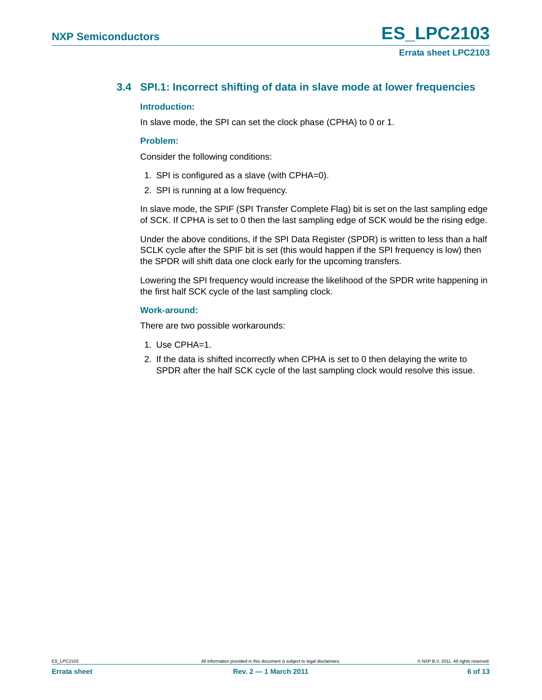# <span id="page-5-0"></span>**3.4 SPI.1: Incorrect shifting of data in slave mode at lower frequencies**

# <span id="page-5-1"></span>**Introduction:**

In slave mode, the SPI can set the clock phase (CPHA) to 0 or 1.

# <span id="page-5-2"></span>**Problem:**

Consider the following conditions:

- 1. SPI is configured as a slave (with CPHA=0).
- 2. SPI is running at a low frequency.

In slave mode, the SPIF (SPI Transfer Complete Flag) bit is set on the last sampling edge of SCK. If CPHA is set to 0 then the last sampling edge of SCK would be the rising edge.

Under the above conditions, if the SPI Data Register (SPDR) is written to less than a half SCLK cycle after the SPIF bit is set (this would happen if the SPI frequency is low) then the SPDR will shift data one clock early for the upcoming transfers.

Lowering the SPI frequency would increase the likelihood of the SPDR write happening in the first half SCK cycle of the last sampling clock.

# <span id="page-5-3"></span>**Work-around:**

There are two possible workarounds:

- 1. Use CPHA=1.
- 2. If the data is shifted incorrectly when CPHA is set to 0 then delaying the write to SPDR after the half SCK cycle of the last sampling clock would resolve this issue.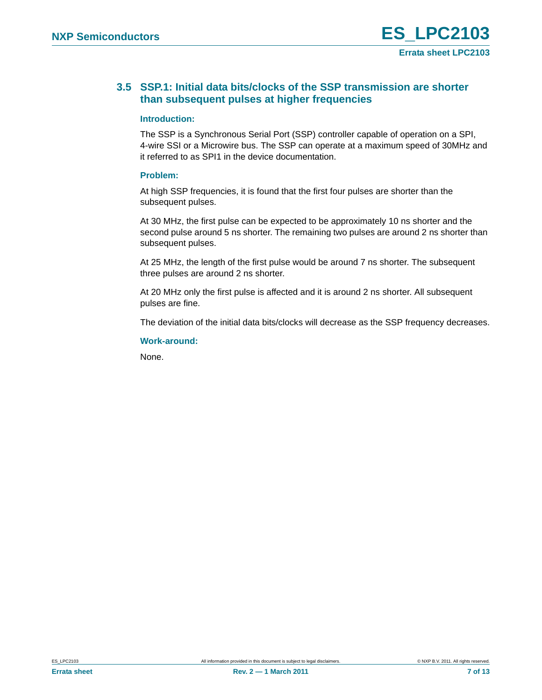# <span id="page-6-0"></span>**3.5 SSP.1: Initial data bits/clocks of the SSP transmission are shorter than subsequent pulses at higher frequencies**

# <span id="page-6-1"></span>**Introduction:**

The SSP is a Synchronous Serial Port (SSP) controller capable of operation on a SPI, 4-wire SSI or a Microwire bus. The SSP can operate at a maximum speed of 30MHz and it referred to as SPI1 in the device documentation.

# <span id="page-6-2"></span>**Problem:**

At high SSP frequencies, it is found that the first four pulses are shorter than the subsequent pulses.

At 30 MHz, the first pulse can be expected to be approximately 10 ns shorter and the second pulse around 5 ns shorter. The remaining two pulses are around 2 ns shorter than subsequent pulses.

At 25 MHz, the length of the first pulse would be around 7 ns shorter. The subsequent three pulses are around 2 ns shorter.

At 20 MHz only the first pulse is affected and it is around 2 ns shorter. All subsequent pulses are fine.

The deviation of the initial data bits/clocks will decrease as the SSP frequency decreases.

# <span id="page-6-3"></span>**Work-around:**

None.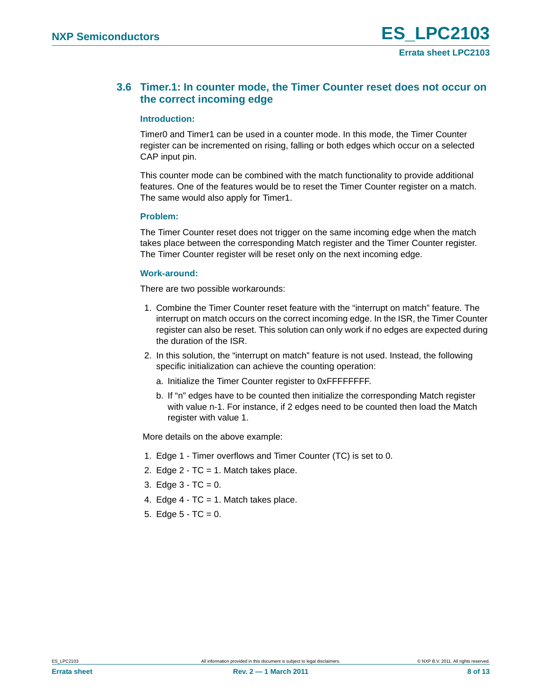# <span id="page-7-0"></span>**3.6 Timer.1: In counter mode, the Timer Counter reset does not occur on the correct incoming edge**

## <span id="page-7-1"></span>**Introduction:**

Timer0 and Timer1 can be used in a counter mode. In this mode, the Timer Counter register can be incremented on rising, falling or both edges which occur on a selected CAP input pin.

This counter mode can be combined with the match functionality to provide additional features. One of the features would be to reset the Timer Counter register on a match. The same would also apply for Timer1.

# <span id="page-7-2"></span>**Problem:**

The Timer Counter reset does not trigger on the same incoming edge when the match takes place between the corresponding Match register and the Timer Counter register. The Timer Counter register will be reset only on the next incoming edge.

# <span id="page-7-3"></span>**Work-around:**

There are two possible workarounds:

- 1. Combine the Timer Counter reset feature with the "interrupt on match" feature. The interrupt on match occurs on the correct incoming edge. In the ISR, the Timer Counter register can also be reset. This solution can only work if no edges are expected during the duration of the ISR.
- 2. In this solution, the "interrupt on match" feature is not used. Instead, the following specific initialization can achieve the counting operation:
	- a. Initialize the Timer Counter register to 0xFFFFFFFF.
	- b. If "n" edges have to be counted then initialize the corresponding Match register with value n-1. For instance, if 2 edges need to be counted then load the Match register with value 1.

More details on the above example:

- 1. Edge 1 Timer overflows and Timer Counter (TC) is set to 0.
- 2. Edge 2 TC = 1. Match takes place.
- 3. Edge  $3 TC = 0$ .
- 4. Edge  $4 TC = 1$ . Match takes place.
- 5. Edge  $5 TC = 0$ .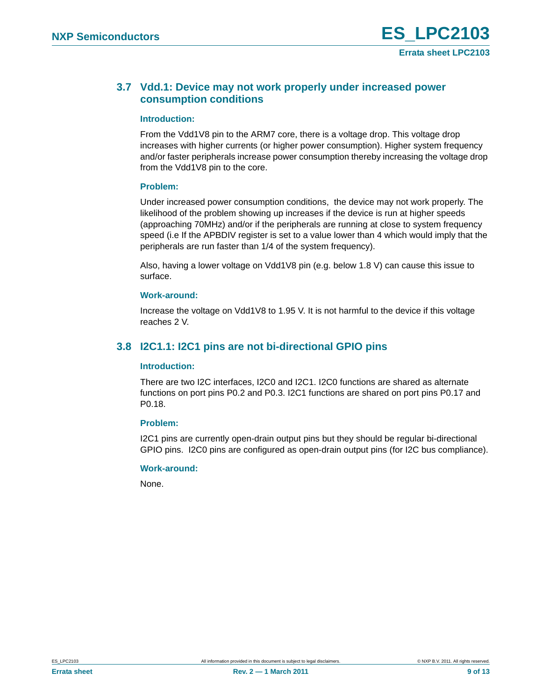# <span id="page-8-0"></span>**3.7 Vdd.1: Device may not work properly under increased power consumption conditions**

## <span id="page-8-2"></span>**Introduction:**

From the Vdd1V8 pin to the ARM7 core, there is a voltage drop. This voltage drop increases with higher currents (or higher power consumption). Higher system frequency and/or faster peripherals increase power consumption thereby increasing the voltage drop from the Vdd1V8 pin to the core.

### <span id="page-8-3"></span>**Problem:**

Under increased power consumption conditions, the device may not work properly. The likelihood of the problem showing up increases if the device is run at higher speeds (approaching 70MHz) and/or if the peripherals are running at close to system frequency speed (i.e If the APBDIV register is set to a value lower than 4 which would imply that the peripherals are run faster than 1/4 of the system frequency).

Also, having a lower voltage on Vdd1V8 pin (e.g. below 1.8 V) can cause this issue to surface.

# <span id="page-8-4"></span>**Work-around:**

Increase the voltage on Vdd1V8 to 1.95 V. It is not harmful to the device if this voltage reaches 2 V.

# <span id="page-8-1"></span>**3.8 I2C1.1: I2C1 pins are not bi-directional GPIO pins**

### <span id="page-8-5"></span>**Introduction:**

There are two I2C interfaces, I2C0 and I2C1. I2C0 functions are shared as alternate functions on port pins P0.2 and P0.3. I2C1 functions are shared on port pins P0.17 and P0.18.

# <span id="page-8-6"></span>**Problem:**

I2C1 pins are currently open-drain output pins but they should be regular bi-directional GPIO pins. I2C0 pins are configured as open-drain output pins (for I2C bus compliance).

### <span id="page-8-7"></span>**Work-around:**

None.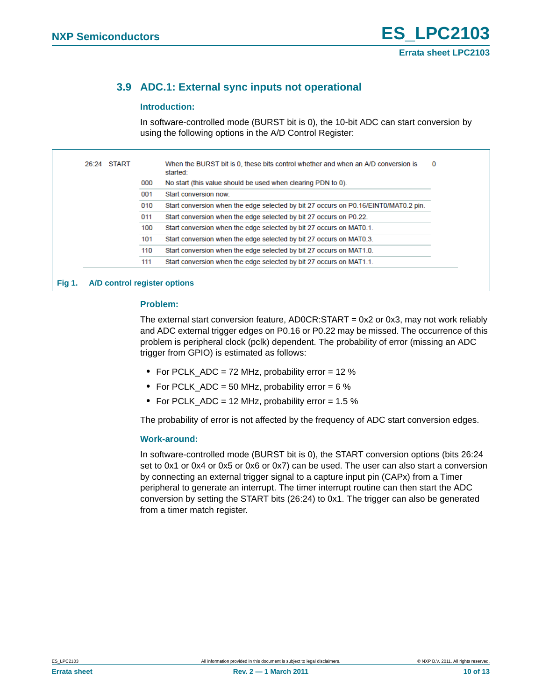# <span id="page-9-0"></span>**3.9 ADC.1: External sync inputs not operational**

# <span id="page-9-1"></span>**Introduction:**

In software-controlled mode (BURST bit is 0), the 10-bit ADC can start conversion by using the following options in the A/D Control Register:

| 26:24 START |     | When the BURST bit is 0, these bits control whether and when an A/D conversion is<br>started: | 0 |
|-------------|-----|-----------------------------------------------------------------------------------------------|---|
|             | 000 | No start (this value should be used when clearing PDN to 0).                                  |   |
|             | 001 | Start conversion now.                                                                         |   |
|             | 010 | Start conversion when the edge selected by bit 27 occurs on P0.16/EINT0/MAT0.2 pin.           |   |
|             | 011 | Start conversion when the edge selected by bit 27 occurs on P0.22.                            |   |
|             | 100 | Start conversion when the edge selected by bit 27 occurs on MAT0.1.                           |   |
|             | 101 | Start conversion when the edge selected by bit 27 occurs on MAT0.3.                           |   |
|             | 110 | Start conversion when the edge selected by bit 27 occurs on MAT1.0.                           |   |
|             | 111 | Start conversion when the edge selected by bit 27 occurs on MAT1.1.                           |   |

### <span id="page-9-2"></span>**Problem:**

The external start conversion feature, AD0CR:START = 0x2 or 0x3, may not work reliably and ADC external trigger edges on P0.16 or P0.22 may be missed. The occurrence of this problem is peripheral clock (pclk) dependent. The probability of error (missing an ADC trigger from GPIO) is estimated as follows:

- **•** For PCLK\_ADC = 72 MHz, probability error = 12 %
- For PCLK ADC = 50 MHz, probability error = 6 %
- **•** For PCLK\_ADC = 12 MHz, probability error = 1.5 %

The probability of error is not affected by the frequency of ADC start conversion edges.

### <span id="page-9-3"></span>**Work-around:**

In software-controlled mode (BURST bit is 0), the START conversion options (bits 26:24 set to 0x1 or 0x4 or 0x5 or 0x6 or 0x7) can be used. The user can also start a conversion by connecting an external trigger signal to a capture input pin (CAPx) from a Timer peripheral to generate an interrupt. The timer interrupt routine can then start the ADC conversion by setting the START bits (26:24) to 0x1. The trigger can also be generated from a timer match register.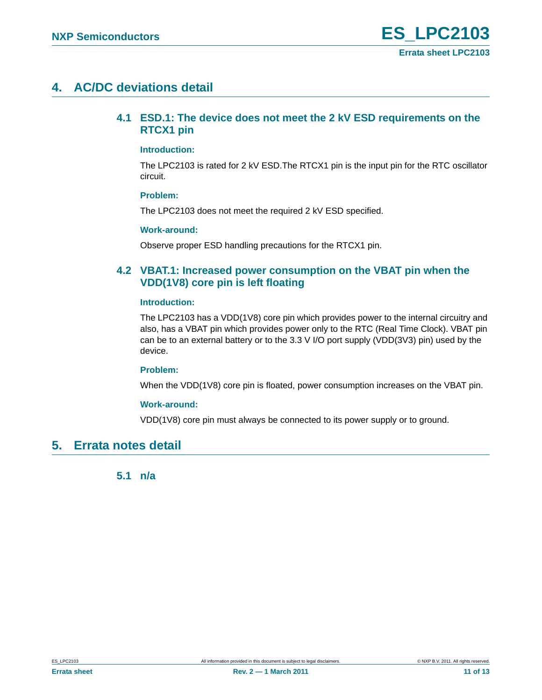# <span id="page-10-2"></span><span id="page-10-0"></span>**4. AC/DC deviations detail**

# **4.1 ESD.1: The device does not meet the 2 kV ESD requirements on the RTCX1 pin**

## <span id="page-10-3"></span>**Introduction:**

The LPC2103 is rated for 2 kV ESD.The RTCX1 pin is the input pin for the RTC oscillator circuit.

### <span id="page-10-4"></span>**Problem:**

The LPC2103 does not meet the required 2 kV ESD specified.

# <span id="page-10-5"></span>**Work-around:**

Observe proper ESD handling precautions for the RTCX1 pin.

# <span id="page-10-1"></span>**4.2 VBAT.1: Increased power consumption on the VBAT pin when the VDD(1V8) core pin is left floating**

# <span id="page-10-6"></span>**Introduction:**

The LPC2103 has a VDD(1V8) core pin which provides power to the internal circuitry and also, has a VBAT pin which provides power only to the RTC (Real Time Clock). VBAT pin can be to an external battery or to the 3.3 V I/O port supply (VDD(3V3) pin) used by the device.

### <span id="page-10-7"></span>**Problem:**

When the VDD(1V8) core pin is floated, power consumption increases on the VBAT pin.

### <span id="page-10-8"></span>**Work-around:**

VDD(1V8) core pin must always be connected to its power supply or to ground.

# <span id="page-10-10"></span><span id="page-10-9"></span>**5. Errata notes detail**

**5.1 n/a**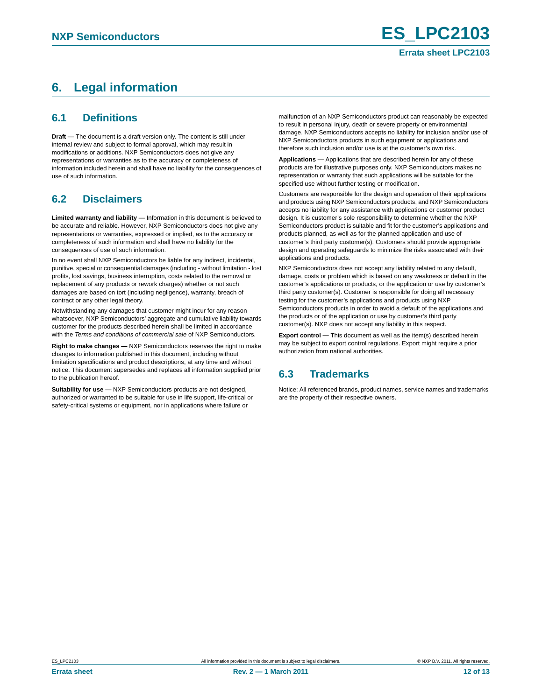# <span id="page-11-0"></span>**6. Legal information**

# <span id="page-11-1"></span>**6.1 Definitions**

**Draft —** The document is a draft version only. The content is still under internal review and subject to formal approval, which may result in modifications or additions. NXP Semiconductors does not give any representations or warranties as to the accuracy or completeness of information included herein and shall have no liability for the consequences of use of such information.

# <span id="page-11-2"></span>**6.2 Disclaimers**

**Limited warranty and liability —** Information in this document is believed to be accurate and reliable. However, NXP Semiconductors does not give any representations or warranties, expressed or implied, as to the accuracy or completeness of such information and shall have no liability for the consequences of use of such information.

In no event shall NXP Semiconductors be liable for any indirect, incidental, punitive, special or consequential damages (including - without limitation - lost profits, lost savings, business interruption, costs related to the removal or replacement of any products or rework charges) whether or not such damages are based on tort (including negligence), warranty, breach of contract or any other legal theory.

Notwithstanding any damages that customer might incur for any reason whatsoever, NXP Semiconductors' aggregate and cumulative liability towards customer for the products described herein shall be limited in accordance with the *Terms and conditions of commercial sale* of NXP Semiconductors.

**Right to make changes —** NXP Semiconductors reserves the right to make changes to information published in this document, including without limitation specifications and product descriptions, at any time and without notice. This document supersedes and replaces all information supplied prior to the publication hereof.

**Suitability for use —** NXP Semiconductors products are not designed, authorized or warranted to be suitable for use in life support, life-critical or safety-critical systems or equipment, nor in applications where failure or

malfunction of an NXP Semiconductors product can reasonably be expected to result in personal injury, death or severe property or environmental damage. NXP Semiconductors accepts no liability for inclusion and/or use of NXP Semiconductors products in such equipment or applications and therefore such inclusion and/or use is at the customer's own risk.

**Applications —** Applications that are described herein for any of these products are for illustrative purposes only. NXP Semiconductors makes no representation or warranty that such applications will be suitable for the specified use without further testing or modification.

Customers are responsible for the design and operation of their applications and products using NXP Semiconductors products, and NXP Semiconductors accepts no liability for any assistance with applications or customer product design. It is customer's sole responsibility to determine whether the NXP Semiconductors product is suitable and fit for the customer's applications and products planned, as well as for the planned application and use of customer's third party customer(s). Customers should provide appropriate design and operating safeguards to minimize the risks associated with their applications and products.

NXP Semiconductors does not accept any liability related to any default, damage, costs or problem which is based on any weakness or default in the customer's applications or products, or the application or use by customer's third party customer(s). Customer is responsible for doing all necessary testing for the customer's applications and products using NXP Semiconductors products in order to avoid a default of the applications and the products or of the application or use by customer's third party customer(s). NXP does not accept any liability in this respect.

**Export control —** This document as well as the item(s) described herein may be subject to export control regulations. Export might require a prior authorization from national authorities.

# <span id="page-11-3"></span>**6.3 Trademarks**

Notice: All referenced brands, product names, service names and trademarks are the property of their respective owners.